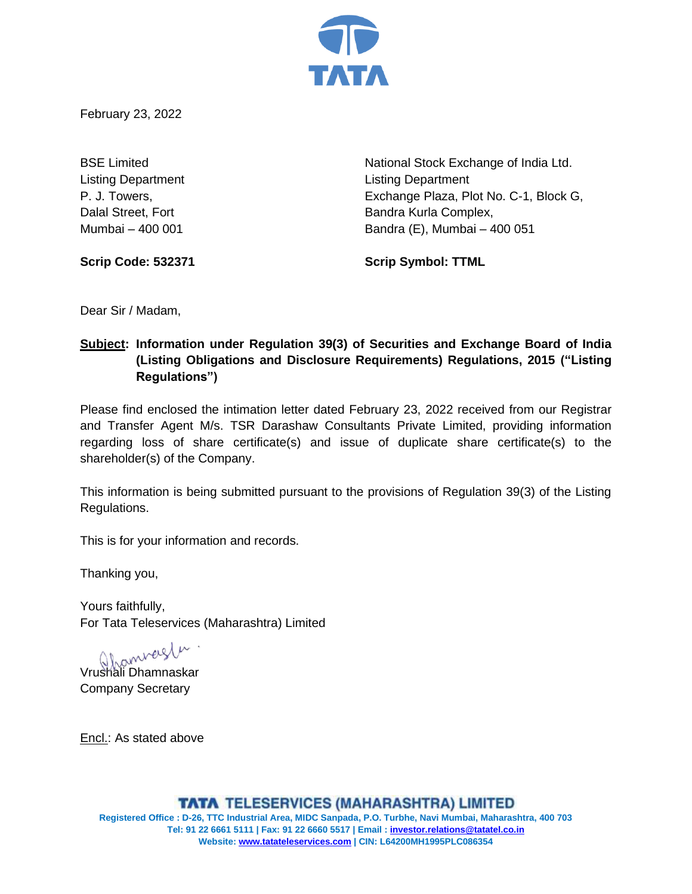

February 23, 2022

Listing Department Listing Department

BSE Limited **National Stock Exchange of India Ltd.** National Stock Exchange of India Ltd. P. J. Towers, Exchange Plaza, Plot No. C-1, Block G, Dalal Street, Fort **Bandra Kurla Complex**, Mumbai – 400 001 Bandra (E), Mumbai – 400 051

**Scrip Code: 532371 Scrip Symbol: TTML**

Dear Sir / Madam,

# **Subject: Information under Regulation 39(3) of Securities and Exchange Board of India (Listing Obligations and Disclosure Requirements) Regulations, 2015 ("Listing Regulations")**

Please find enclosed the intimation letter dated February 23, 2022 received from our Registrar and Transfer Agent M/s. TSR Darashaw Consultants Private Limited, providing information regarding loss of share certificate(s) and issue of duplicate share certificate(s) to the shareholder(s) of the Company.

This information is being submitted pursuant to the provisions of Regulation 39(3) of the Listing Regulations.

This is for your information and records.

Thanking you,

Yours faithfully, For Tata Teleservices (Maharashtra) Limited

Vrushali Dhamnaskar

Company Secretary

Encl.: As stated above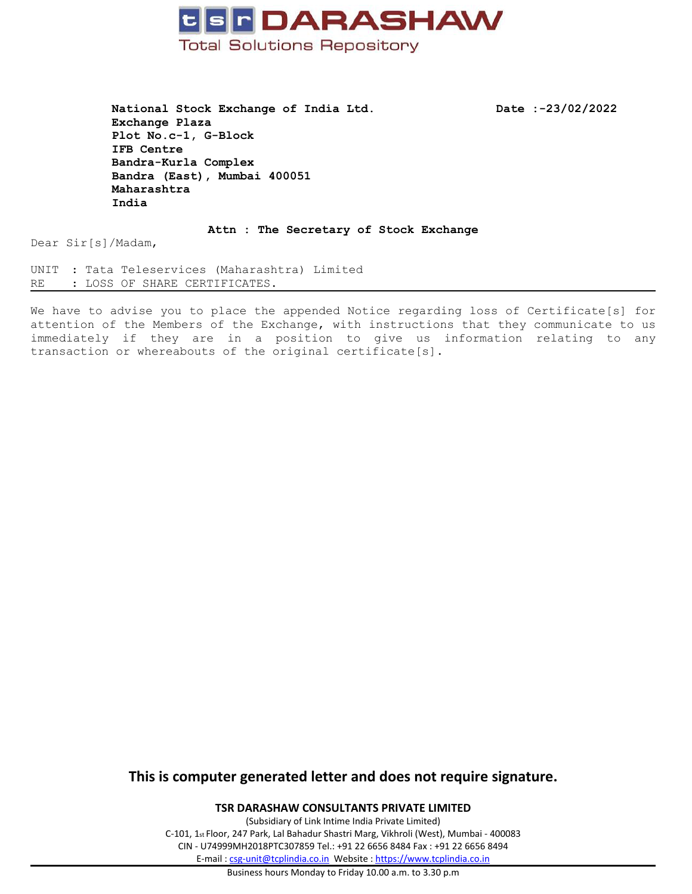

**National Stock Exchange of India Ltd. Date :-23/02/2022 Exchange Plaza Plot No.c-1, G-Block IFB Centre Bandra-Kurla Complex Bandra (East), Mumbai 400051 Maharashtra India**

**Attn : The Secretary of Stock Exchange**

Dear Sir[s]/Madam,

UNIT : Tata Teleservices (Maharashtra) Limited RE : LOSS OF SHARE CERTIFICATES.

We have to advise you to place the appended Notice regarding loss of Certificate[s] for attention of the Members of the Exchange, with instructions that they communicate to us immediately if they are in <sup>a</sup> position to give us information relating to any transaction or whereabouts of the original certificate[s].

## **This is computer generated letter and does not require signature.**

**TSR DARASHAW CONSULTANTS PRIVATE LIMITED**

(Subsidiary of Link Intime India Private Limited) C-101, 1st Floor, 247 Park, Lal Bahadur Shastri Marg, Vikhroli (West), Mumbai - 400083 CIN - U74999MH2018PTC307859 Tel.: +91 22 6656 8484 Fax : +91 22 6656 8494 E-mail : [csg-unit@tcplindia.co.in](mailto:csg-unit@tcplindia.co.in) Website : <https://www.tcplindia.co.in>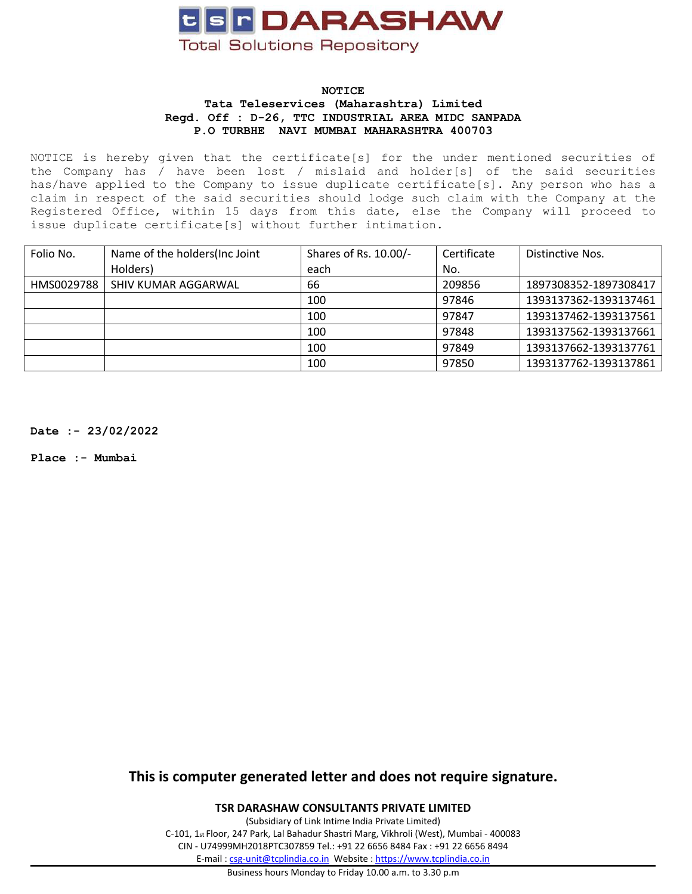

#### **NOTICE Tata Teleservices (Maharashtra) Limited Regd. Off : D-26, TTC INDUSTRIAL AREA MIDC SANPADA P.O TURBHE NAVI MUMBAI MAHARASHTRA 400703**

NOTICE is hereby given that the certificate[s] for the under mentioned securities of the Company has / have been lost / mislaid and holder[s] of the said securities has/have applied to the Company to issue duplicate certificate[s]. Any person who has <sup>a</sup> claim in respect of the said securities should lodge such claim with the Company at the Registered Office, within 15 days from this date, else the Company will proceed to issue duplicate certificate[s] without further intimation.

| Folio No.  | Name of the holders (Inc Joint | Shares of Rs. 10.00/- | Certificate | Distinctive Nos.      |
|------------|--------------------------------|-----------------------|-------------|-----------------------|
|            | Holders)                       | each                  | No.         |                       |
| HMS0029788 | SHIV KUMAR AGGARWAL            | 66                    | 209856      | 1897308352-1897308417 |
|            |                                | 100                   | 97846       | 1393137362-1393137461 |
|            |                                | 100                   | 97847       | 1393137462-1393137561 |
|            |                                | 100                   | 97848       | 1393137562-1393137661 |
|            |                                | 100                   | 97849       | 1393137662-1393137761 |
|            |                                | 100                   | 97850       | 1393137762-1393137861 |

**Date :- 23/02/2022**

**Place :- Mumbai**

**This is computer generated letter and does not require signature.**

**TSR DARASHAW CONSULTANTS PRIVATE LIMITED**

(Subsidiary of Link Intime India Private Limited) C-101, 1st Floor, 247 Park, Lal Bahadur Shastri Marg, Vikhroli (West), Mumbai - 400083 CIN - U74999MH2018PTC307859 Tel.: +91 22 6656 8484 Fax : +91 22 6656 8494 E-mail : [csg-unit@tcplindia.co.in](mailto:csg-unit@tcplindia.co.in) Website : <https://www.tcplindia.co.in>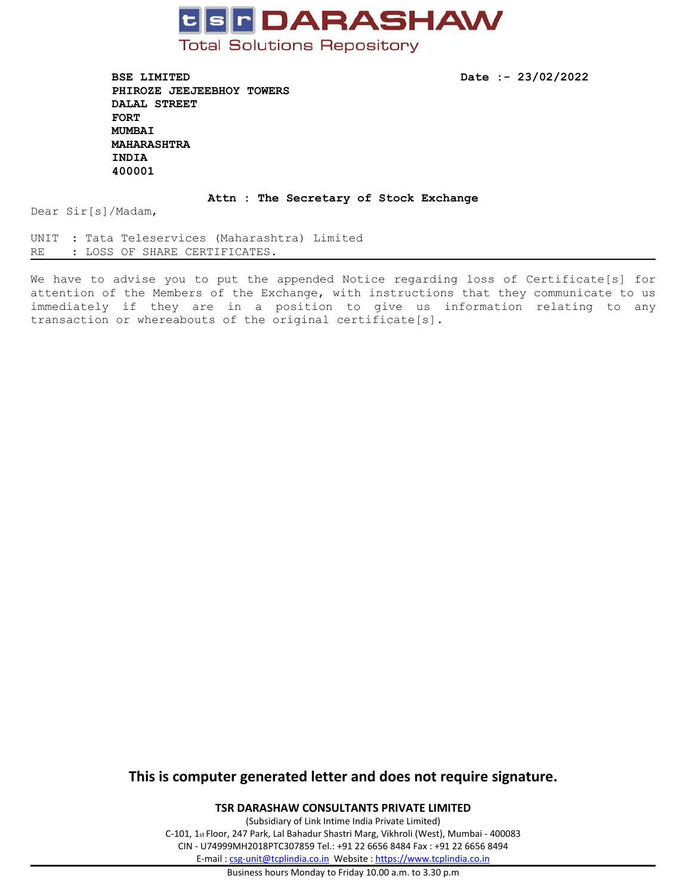

**BSE LIMITED Date :- 23/02/2022 PHIROZE JEEJEEBHOY TOWERS DALAL STREET FORT MUMBAI MAHARASHTRA INDIA 400001**

#### **Attn : The Secretary of Stock Exchange**

Dear Sir[s]/Madam,

UNIT : Tata Teleservices (Maharashtra) Limited RE : LOSS OF SHARE CERTIFICATES.

We have to advise you to put the appended Notice regarding loss of Certificate[s] for attention of the Members of the Exchange, with instructions that they communicate to us immediately if they are in <sup>a</sup> position to give us information relating to any transaction or whereabouts of the original certificate[s].

### **This is computer generated letter and does not require signature.**

**TSR DARASHAW CONSULTANTS PRIVATE LIMITED**

(Subsidiary of Link Intime India Private Limited) C-101, 1st Floor, 247 Park, Lal Bahadur Shastri Marg, Vikhroli (West), Mumbai - 400083 CIN - U74999MH2018PTC307859 Tel.: +91 22 6656 8484 Fax : +91 22 6656 8494 E-mail : [csg-unit@tcplindia.co.in](mailto:csg-unit@tcplindia.co.in) Website : <https://www.tcplindia.co.in>